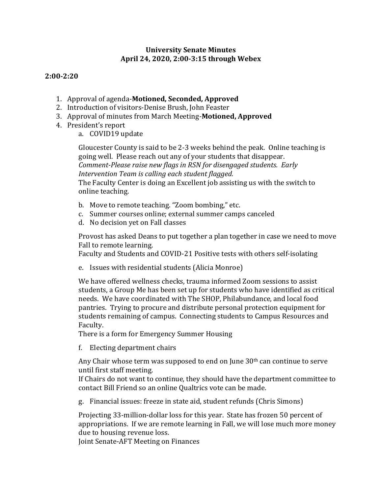## **University Senate Minutes April 24, 2020, 2:00-3:15 through Webex**

## **2:00-2:20**

- 1. Approval of agenda-Motioned, Seconded, Approved
- 2. Introduction of visitors-Denise Brush, John Feaster
- 3. Approval of minutes from March Meeting-Motioned, Approved
- 4. President's report
	- a. COVID19 update

Gloucester County is said to be 2-3 weeks behind the peak. Online teaching is going well. Please reach out any of your students that disappear. *Comment-Please raise new flags in RSN for disengaged students. Early* Intervention Team is calling each student flagged. The Faculty Center is doing an Excellent job assisting us with the switch to online teaching.

- b. Move to remote teaching. "Zoom bombing," etc.
- c. Summer courses online; external summer camps canceled
- d. No decision yet on Fall classes

Provost has asked Deans to put together a plan together in case we need to move Fall to remote learning.

Faculty and Students and COVID-21 Positive tests with others self-isolating

e. Issues with residential students (Alicia Monroe)

We have offered wellness checks, trauma informed Zoom sessions to assist students, a Group Me has been set up for students who have identified as critical needs. We have coordinated with The SHOP, Philabundance, and local food pantries. Trying to procure and distribute personal protection equipment for students remaining of campus. Connecting students to Campus Resources and Faculty. 

There is a form for Emergency Summer Housing

f. Electing department chairs

Any Chair whose term was supposed to end on June  $30<sup>th</sup>$  can continue to serve until first staff meeting.

If Chairs do not want to continue, they should have the department committee to contact Bill Friend so an online Qualtrics vote can be made.

g. Financial issues: freeze in state aid, student refunds (Chris Simons)

Projecting 33-million-dollar loss for this year. State has frozen 50 percent of appropriations. If we are remote learning in Fall, we will lose much more money due to housing revenue loss.

Joint Senate-AFT Meeting on Finances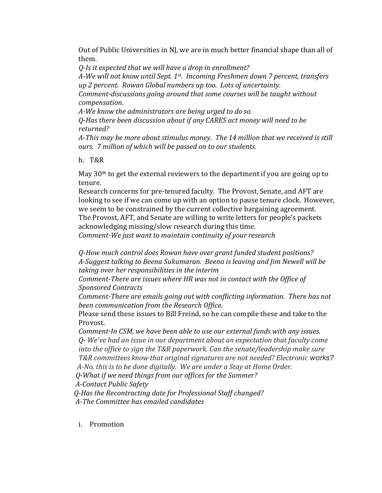Out of Public Universities in NJ, we are in much better financial shape than all of them. 

*Q-Is* it expected that we will have a drop in enrollment?

*A-We will not know until Sept. 1<sup>st</sup>. Incoming Freshmen down 7 percent, transfers* up 2 percent. Rowan Global numbers up too. Lots of uncertainty.

*Comment-discussions going around that some courses will be taught without compensation.*

A-We know the administrators are being urged to do so.

*Q-Has there been discussion about if any CARES act money will need to be returned?*

A-This may be more about stimulus money. The 14 million that we received is still *ours.* 7 million of which will be passed on to our students.

h. T&R

May  $30<sup>th</sup>$  to get the external reviewers to the department if you are going up to tenure.

Research concerns for pre-tenured faculty. The Provost, Senate, and AFT are looking to see if we can come up with an option to pause tenure clock. However, we seem to be constrained by the current collective bargaining agreement. The Provost, AFT, and Senate are willing to write letters for people's packets acknowledging missing/slow research during this time.

*Comment-We just want to maintain continuity of your research* 

*Q-How much control does Rowan have over grant funded student positions?* A-Suggest talking to Beena Sukumaran. Beena is leaving and *Jim Newell will be* taking over her responsibilities in the interim

*Comment-There are issues where HR was not in contact with the Office of Sponsored Contracts*

*Comment-There are emails going out with conflicting information. There has not* **been** *communication* from the Research Office.

Please send these issues to Bill Freind, so he can compile these and take to the Provost.

*Comment-In CSM, we have been able to use our external funds with any issues. Q-* We've had an issue in our department about an expectation that faculty come *into the office to sign the T&R paperwork. Can the senate/leadership make sure T&R committees know that original signatures are not needed? Electronic works? A-No, this is to be done digitally. We are under a Stay at Home Order.* 

 *Q-What if we need things from our offices for the Summer?*

 *A-Contact Public Safety*

 *Q-Has the Recontracting date for Professional Staff changed? A-The Committee has emailed candidates*

i. Promotion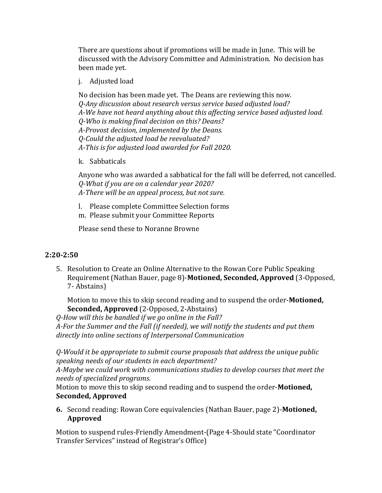There are questions about if promotions will be made in June. This will be discussed with the Advisory Committee and Administration. No decision has been made yet.

j. Adjusted load

No decision has been made yet. The Deans are reviewing this now. *Q-Any discussion about research versus service based adjusted load? A-We have not heard anything about this affecting service based adjusted load. Q-Who is making final decision on this? Deans? A-Provost decision, implemented by the Deans. Q-Could the adjusted load be reevaluated?* A-This is for adjusted load awarded for Fall 2020.

k. Sabbaticals

Anyone who was awarded a sabbatical for the fall will be deferred, not cancelled. *Q-What if you are on a calendar year 2020?*

*A-There will be an appeal process, but not sure.* 

- l. Please complete Committee Selection forms
- m. Please submit your Committee Reports

Please send these to Noranne Browne

## **2:20-2:50**

5. Resolution to Create an Online Alternative to the Rowan Core Public Speaking Requirement (Nathan Bauer, page 8)-**Motioned, Seconded, Approved** (3-Opposed, 7- Abstains)

Motion to move this to skip second reading and to suspend the order-**Motioned**, **Seconded, Approved** (2-Opposed, 2-Abstains)

*Q-How will this be handled if we go online in the Fall?*

A-For the Summer and the Fall (if needed), we will notify the students and put them directly into online sections of Interpersonal Communication

*Q-Would it be appropriate to submit course proposals that address the unique public speaking needs of our students in each department?*

A-Maybe we could work with communications studies to develop courses that meet the *needs of specialized programs.*

Motion to move this to skip second reading and to suspend the order-**Motioned**, **Seconded, Approved**

**6.** Second reading: Rowan Core equivalencies (Nathan Bauer, page 2)-Motioned, **Approved**

Motion to suspend rules-Friendly Amendment-(Page 4-Should state "Coordinator Transfer Services" instead of Registrar's Office)